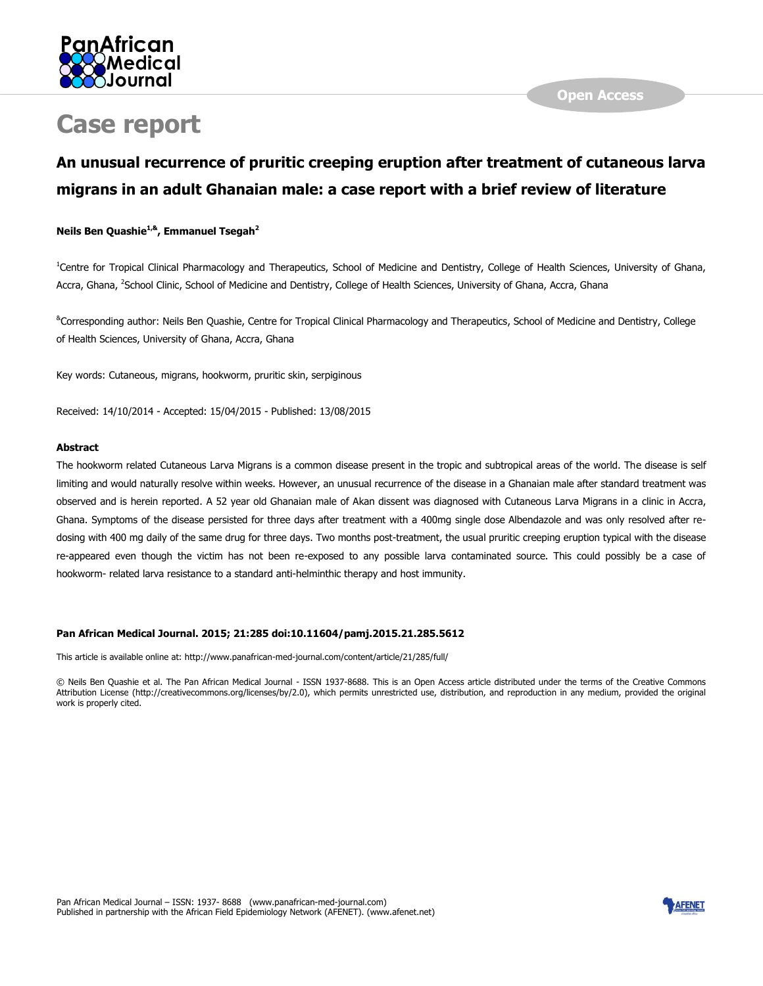

# **Case report**

# **An unusual recurrence of pruritic creeping eruption after treatment of cutaneous larva migrans in an adult Ghanaian male: a case report with a brief review of literature**

#### **Neils Ben Quashie1,&, Emmanuel Tsegah<sup>2</sup>**

<sup>1</sup>Centre for Tropical Clinical Pharmacology and Therapeutics, School of Medicine and Dentistry, College of Health Sciences, University of Ghana, Accra, Ghana, <sup>2</sup>School Clinic, School of Medicine and Dentistry, College of Health Sciences, University of Ghana, Accra, Ghana

&Corresponding author: Neils Ben Quashie, Centre for Tropical Clinical Pharmacology and Therapeutics, School of Medicine and Dentistry, College of Health Sciences, University of Ghana, Accra, Ghana

Key words: Cutaneous, migrans, hookworm, pruritic skin, serpiginous

Received: 14/10/2014 - Accepted: 15/04/2015 - Published: 13/08/2015

#### **Abstract**

The hookworm related Cutaneous Larva Migrans is a common disease present in the tropic and subtropical areas of the world. The disease is self limiting and would naturally resolve within weeks. However, an unusual recurrence of the disease in a Ghanaian male after standard treatment was observed and is herein reported. A 52 year old Ghanaian male of Akan dissent was diagnosed with Cutaneous Larva Migrans in a clinic in Accra, Ghana. Symptoms of the disease persisted for three days after treatment with a 400mg single dose Albendazole and was only resolved after redosing with 400 mg daily of the same drug for three days. Two months post-treatment, the usual pruritic creeping eruption typical with the disease re-appeared even though the victim has not been re-exposed to any possible larva contaminated source. This could possibly be a case of hookworm- related larva resistance to a standard anti-helminthic therapy and host immunity.

#### **Pan African Medical Journal. 2015; 21:285 doi:10.11604/pamj.2015.21.285.5612**

This article is available online at: http://www.panafrican-med-journal.com/content/article/21/285/full/

© Neils Ben Quashie et al. The Pan African Medical Journal - ISSN 1937-8688. This is an Open Access article distributed under the terms of the Creative Commons Attribution License (http://creativecommons.org/licenses/by/2.0), which permits unrestricted use, distribution, and reproduction in any medium, provided the original work is properly cited.

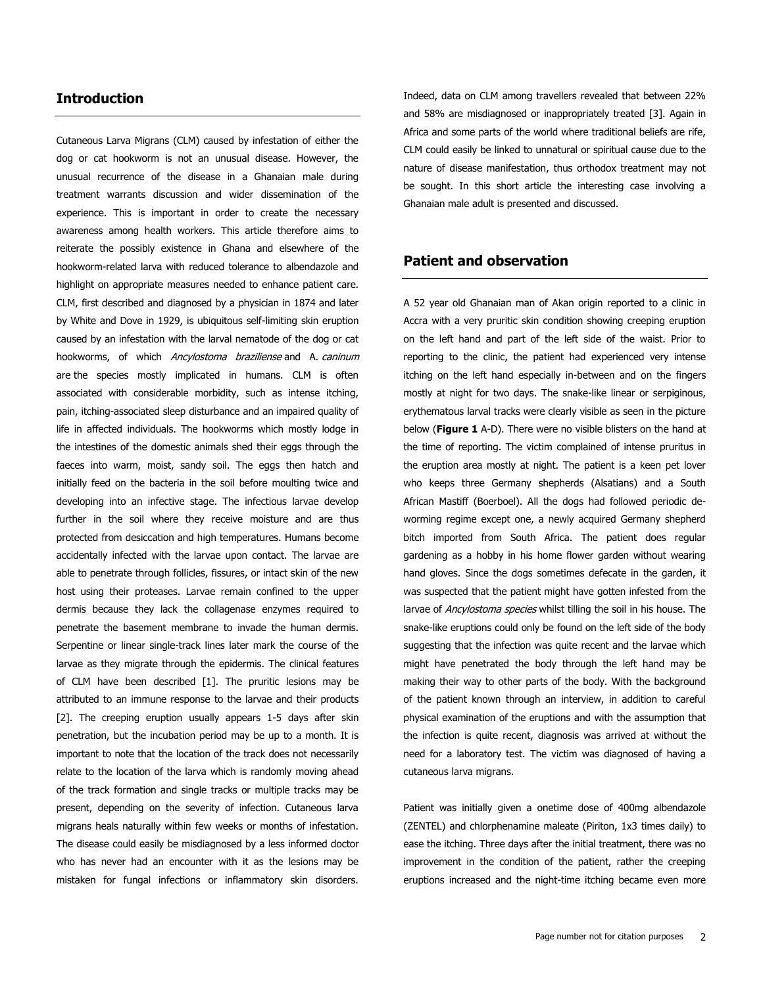#### **Introduction**

Cutaneous Larva Migrans (CLM) caused by infestation of either the dog or cat hookworm is not an unusual disease. However, the unusual recurrence of the disease in a Ghanaian male during treatment warrants discussion and wider dissemination of the experience. This is important in order to create the necessary awareness among health workers. This article therefore aims to reiterate the possibly existence in Ghana and elsewhere of the hookworm-related larva with reduced tolerance to albendazole and highlight on appropriate measures needed to enhance patient care. CLM, first described and diagnosed by a physician in 1874 and later by White and Dove in 1929, is ubiquitous self-limiting skin eruption caused by an infestation with the larval nematode of the dog or cat hookworms, of which Ancylostoma braziliense and A. caninum are the species mostly implicated in humans. CLM is often associated with considerable morbidity, such as intense itching, pain, itching-associated sleep disturbance and an impaired quality of life in affected individuals. The hookworms which mostly lodge in the intestines of the domestic animals shed their eggs through the faeces into warm, moist, sandy soil. The eggs then hatch and initially feed on the bacteria in the soil before moulting twice and developing into an infective stage. The infectious larvae develop further in the soil where they receive moisture and are thus protected from desiccation and high temperatures. Humans become accidentally infected with the larvae upon contact. The larvae are able to penetrate through follicles, fissures, or intact skin of the new host using their proteases. Larvae remain confined to the upper dermis because they lack the collagenase enzymes required to penetrate the basement membrane to invade the human dermis. Serpentine or linear single-track lines later mark the course of the larvae as they migrate through the epidermis. The clinical features of CLM have been described [\[1\]](http://www.panafrican-med-journal.com/content/article/21/285/full/#ref1). The pruritic lesions may be attributed to an immune response to the larvae and their products [\[2\]](http://www.panafrican-med-journal.com/content/article/21/285/full/#ref2). The creeping eruption usually appears 1-5 days after skin penetration, but the incubation period may be up to a month. It is important to note that the location of the track does not necessarily relate to the location of the larva which is randomly moving ahead of the track formation and single tracks or multiple tracks may be present, depending on the severity of infection. Cutaneous larva migrans heals naturally within few weeks or months of infestation. The disease could easily be misdiagnosed by a less informed doctor who has never had an encounter with it as the lesions may be mistaken for fungal infections or inflammatory skin disorders.

Indeed, data on CLM among travellers revealed that between 22% and 58% are misdiagnosed or inappropriately treated [\[3\]](http://www.panafrican-med-journal.com/content/article/21/285/full/#ref3). Again in Africa and some parts of the world where traditional beliefs are rife, CLM could easily be linked to unnatural or spiritual cause due to the nature of disease manifestation, thus orthodox treatment may not be sought. In this short article the interesting case involving a Ghanaian male adult is presented and discussed.

#### **Patient and observation**

A 52 year old Ghanaian man of Akan origin reported to a clinic in Accra with a very pruritic skin condition showing creeping eruption on the left hand and part of the left side of the waist. Prior to reporting to the clinic, the patient had experienced very intense itching on the left hand especially in-between and on the fingers mostly at night for two days. The snake-like linear or serpiginous, erythematous larval tracks were clearly visible as seen in the picture below (**[Figure 1](javascript:PopupFigure()** A-D). There were no visible blisters on the hand at the time of reporting. The victim complained of intense pruritus in the eruption area mostly at night. The patient is a keen pet lover who keeps three Germany shepherds (Alsatians) and a South African Mastiff (Boerboel). All the dogs had followed periodic deworming regime except one, a newly acquired Germany shepherd bitch imported from South Africa. The patient does regular gardening as a hobby in his home flower garden without wearing hand gloves. Since the dogs sometimes defecate in the garden, it was suspected that the patient might have gotten infested from the larvae of Ancylostoma species whilst tilling the soil in his house. The snake-like eruptions could only be found on the left side of the body suggesting that the infection was quite recent and the larvae which might have penetrated the body through the left hand may be making their way to other parts of the body. With the background of the patient known through an interview, in addition to careful physical examination of the eruptions and with the assumption that the infection is quite recent, diagnosis was arrived at without the need for a laboratory test. The victim was diagnosed of having a cutaneous larva migrans.

Patient was initially given a onetime dose of 400mg albendazole (ZENTEL) and chlorphenamine maleate (Piriton, 1x3 times daily) to ease the itching. Three days after the initial treatment, there was no improvement in the condition of the patient, rather the creeping eruptions increased and the night-time itching became even more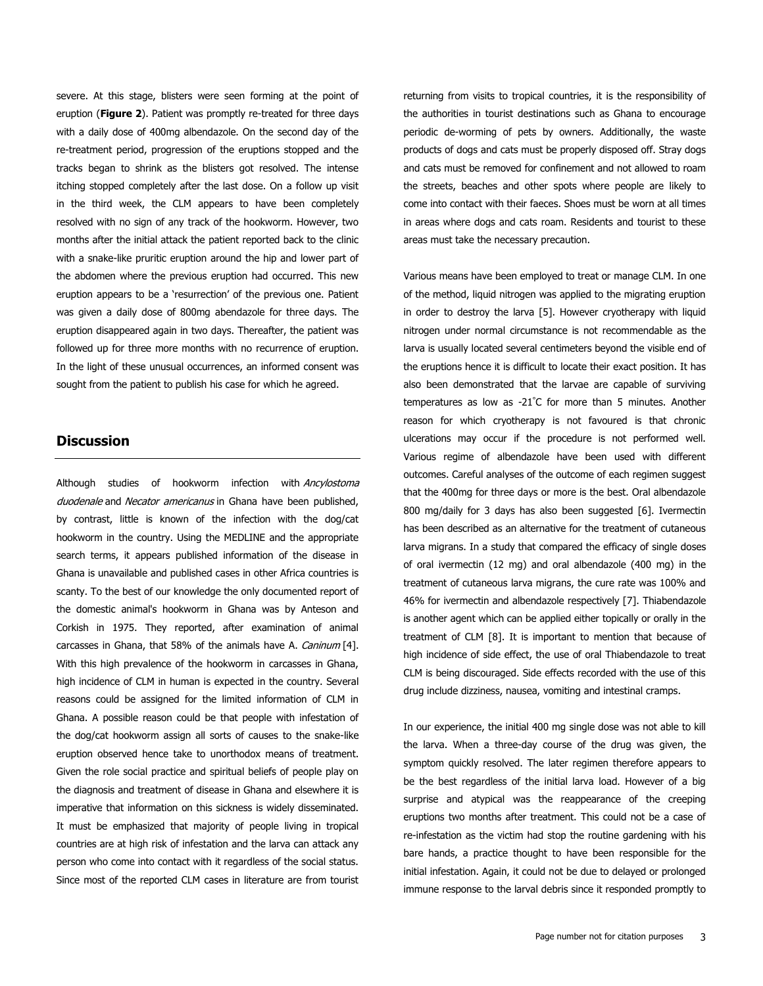severe. At this stage, blisters were seen forming at the point of eruption (**[Figure 2](javascript:PopupFigure()**). Patient was promptly re-treated for three days with a daily dose of 400mg albendazole. On the second day of the re-treatment period, progression of the eruptions stopped and the tracks began to shrink as the blisters got resolved. The intense itching stopped completely after the last dose. On a follow up visit in the third week, the CLM appears to have been completely resolved with no sign of any track of the hookworm. However, two months after the initial attack the patient reported back to the clinic with a snake-like pruritic eruption around the hip and lower part of the abdomen where the previous eruption had occurred. This new eruption appears to be a 'resurrection' of the previous one. Patient was given a daily dose of 800mg abendazole for three days. The eruption disappeared again in two days. Thereafter, the patient was followed up for three more months with no recurrence of eruption. In the light of these unusual occurrences, an informed consent was sought from the patient to publish his case for which he agreed.

#### **Discussion**

Although studies of hookworm infection with Ancylostoma duodenale and Necator americanus in Ghana have been published, by contrast, little is known of the infection with the dog/cat hookworm in the country. Using the MEDLINE and the appropriate search terms, it appears published information of the disease in Ghana is unavailable and published cases in other Africa countries is scanty. To the best of our knowledge the only documented report of the domestic animal's hookworm in Ghana was by Anteson and Corkish in 1975. They reported, after examination of animal carcasses in Ghana, that 58% of the animals have A. Caninum [\[4\]](http://www.panafrican-med-journal.com/content/article/21/285/full/#ref4). With this high prevalence of the hookworm in carcasses in Ghana, high incidence of CLM in human is expected in the country. Several reasons could be assigned for the limited information of CLM in Ghana. A possible reason could be that people with infestation of the dog/cat hookworm assign all sorts of causes to the snake-like eruption observed hence take to unorthodox means of treatment. Given the role social practice and spiritual beliefs of people play on the diagnosis and treatment of disease in Ghana and elsewhere it is imperative that information on this sickness is widely disseminated. It must be emphasized that majority of people living in tropical countries are at high risk of infestation and the larva can attack any person who come into contact with it regardless of the social status. Since most of the reported CLM cases in literature are from tourist

returning from visits to tropical countries, it is the responsibility of the authorities in tourist destinations such as Ghana to encourage periodic de-worming of pets by owners. Additionally, the waste products of dogs and cats must be properly disposed off. Stray dogs and cats must be removed for confinement and not allowed to roam the streets, beaches and other spots where people are likely to come into contact with their faeces. Shoes must be worn at all times in areas where dogs and cats roam. Residents and tourist to these areas must take the necessary precaution.

Various means have been employed to treat or manage CLM. In one of the method, liquid nitrogen was applied to the migrating eruption in order to destroy the larva [\[5\]](http://www.panafrican-med-journal.com/content/article/21/285/full/#ref5). However cryotherapy with liquid nitrogen under normal circumstance is not recommendable as the larva is usually located several centimeters beyond the visible end of the eruptions hence it is difficult to locate their exact position. It has also been demonstrated that the larvae are capable of surviving temperatures as low as -21°C for more than 5 minutes. Another reason for which cryotherapy is not favoured is that chronic ulcerations may occur if the procedure is not performed well. Various regime of albendazole have been used with different outcomes. Careful analyses of the outcome of each regimen suggest that the 400mg for three days or more is the best. Oral albendazole 800 mg/daily for 3 days has also been suggested [\[6\]](http://www.panafrican-med-journal.com/content/article/21/285/full/#ref6). Ivermectin has been described as an alternative for the treatment of cutaneous larva migrans. In a study that compared the efficacy of single doses of oral ivermectin (12 mg) and oral albendazole (400 mg) in the treatment of cutaneous larva migrans, the cure rate was 100% and 46% for ivermectin and albendazole respectively [\[7\]](http://www.panafrican-med-journal.com/content/article/21/285/full/#ref7). Thiabendazole is another agent which can be applied either topically or orally in the treatment of CLM [\[8\]](http://www.panafrican-med-journal.com/content/article/21/285/full/#ref8). It is important to mention that because of high incidence of side effect, the use of oral Thiabendazole to treat CLM is being discouraged. Side effects recorded with the use of this drug include dizziness, nausea, vomiting and intestinal cramps.

In our experience, the initial 400 mg single dose was not able to kill the larva. When a three-day course of the drug was given, the symptom quickly resolved. The later regimen therefore appears to be the best regardless of the initial larva load. However of a big surprise and atypical was the reappearance of the creeping eruptions two months after treatment. This could not be a case of re-infestation as the victim had stop the routine gardening with his bare hands, a practice thought to have been responsible for the initial infestation. Again, it could not be due to delayed or prolonged immune response to the larval debris since it responded promptly to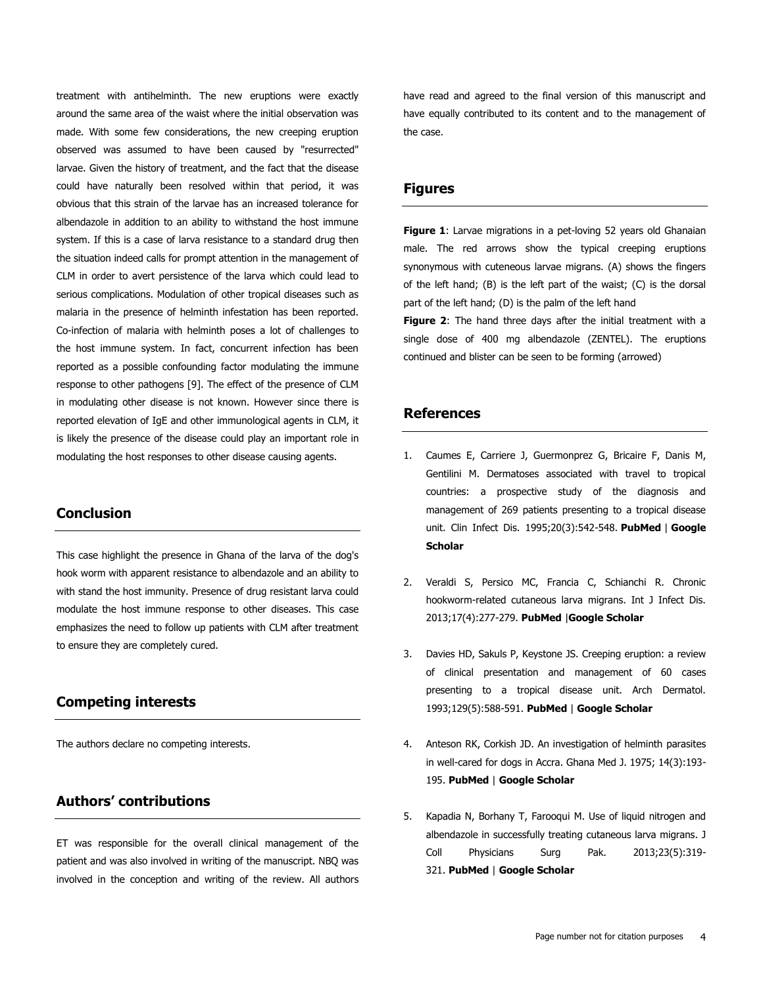treatment with antihelminth. The new eruptions were exactly around the same area of the waist where the initial observation was made. With some few considerations, the new creeping eruption observed was assumed to have been caused by "resurrected" larvae. Given the history of treatment, and the fact that the disease could have naturally been resolved within that period, it was obvious that this strain of the larvae has an increased tolerance for albendazole in addition to an ability to withstand the host immune system. If this is a case of larva resistance to a standard drug then the situation indeed calls for prompt attention in the management of CLM in order to avert persistence of the larva which could lead to serious complications. Modulation of other tropical diseases such as malaria in the presence of helminth infestation has been reported. Co-infection of malaria with helminth poses a lot of challenges to the host immune system. In fact, concurrent infection has been reported as a possible confounding factor modulating the immune response to other pathogens [\[9\]](http://www.panafrican-med-journal.com/content/article/21/285/full/#ref9). The effect of the presence of CLM in modulating other disease is not known. However since there is reported elevation of IgE and other immunological agents in CLM, it is likely the presence of the disease could play an important role in modulating the host responses to other disease causing agents.

## **Conclusion**

This case highlight the presence in Ghana of the larva of the dog's hook worm with apparent resistance to albendazole and an ability to with stand the host immunity. Presence of drug resistant larva could modulate the host immune response to other diseases. This case emphasizes the need to follow up patients with CLM after treatment to ensure they are completely cured.

## **Competing interests**

The authors declare no competing interests.

# **Authors' contributions**

ET was responsible for the overall clinical management of the patient and was also involved in writing of the manuscript. NBQ was involved in the conception and writing of the review. All authors

have read and agreed to the final version of this manuscript and have equally contributed to its content and to the management of the case.

#### **Figures**

**[Figure 1](javascript:PopupFigure()**: Larvae migrations in a pet-loving 52 years old Ghanaian male. The red arrows show the typical creeping eruptions synonymous with cuteneous larvae migrans. (A) shows the fingers of the left hand; (B) is the left part of the waist; (C) is the dorsal part of the left hand; (D) is the palm of the left hand

**[Figure 2](javascript:PopupFigure()**: The hand three days after the initial treatment with a single dose of 400 mg albendazole (ZENTEL). The eruptions continued and blister can be seen to be forming (arrowed)

## **References**

- 1. Caumes E, Carriere J, Guermonprez G, Bricaire F, Danis M, Gentilini M. Dermatoses associated with travel to tropical countries: a prospective study of the diagnosis and management of 269 patients presenting to a tropical disease unit. Clin Infect Dis. 1995;20(3):542-548. **[PubMed](http://www.ncbi.nlm.nih.gov/entrez/query.fcgi?db=PubMed&cmd=Search&doptcmdl=Citation&defaultField=Title+Word&term=Caumes%20E%5bauthor%5d+AND++Dermatoses+associated+with+travel+to+tropical+countries:+a+prospective+study+of+the+diagnosis+and+management+of+269+patients+presenting+to+a+tropical+disease+unit)** | **[Google](http://scholar.google.com/scholar?hl=en&q=+Dermatoses+associated+with+travel+to+tropical+countries:+a+prospective+study+of+the+diagnosis+and+management+of+269+patients+presenting+to+a+tropical+disease+unit)  [Scholar](http://scholar.google.com/scholar?hl=en&q=+Dermatoses+associated+with+travel+to+tropical+countries:+a+prospective+study+of+the+diagnosis+and+management+of+269+patients+presenting+to+a+tropical+disease+unit)**
- 2. Veraldi S, Persico MC, Francia C, Schianchi R. Chronic hookworm-related cutaneous larva migrans. Int J Infect Dis. 2013;17(4):277-279. **[PubMed](http://www.ncbi.nlm.nih.gov/entrez/query.fcgi?db=PubMed&cmd=Search&doptcmdl=Citation&defaultField=Title+Word&term=Veraldi%20S%5bauthor%5d+AND++Chronic+hookworm-related+cutaneous+larva+migrans)** |**[Google Scholar](http://scholar.google.com/scholar?hl=en&q=+Chronic+hookworm-related+cutaneous+larva+migrans)**
- 3. Davies HD, Sakuls P, Keystone JS. Creeping eruption: a review of clinical presentation and management of 60 cases presenting to a tropical disease unit. Arch Dermatol. 1993;129(5):588-591. **[PubMed](http://www.ncbi.nlm.nih.gov/entrez/query.fcgi?db=PubMed&cmd=Search&doptcmdl=Citation&defaultField=Title+Word&term=Davies%20HD%5bauthor%5d+AND++Creeping+eruption:+a+review+of+clinical+presentation+and+management+of+60+cases+presenting+to+a+tropical+disease+unit)** | **[Google Scholar](http://scholar.google.com/scholar?hl=en&q=+Creeping+eruption:+a+review+of+clinical+presentation+and+management+of+60+cases+presenting+to+a+tropical+disease+unit)**
- 4. Anteson RK, Corkish JD. An investigation of helminth parasites in well-cared for dogs in Accra. Ghana Med J. 1975; 14(3):193- 195. **[PubMed](http://www.ncbi.nlm.nih.gov/entrez/query.fcgi?db=PubMed&cmd=Search&doptcmdl=Citation&defaultField=Title+Word&term=Anteson%20RK%5bauthor%5d+AND++An+investigation+of+helminth+parasites+in+well-cared+for+dogs+in+Accra)** | **[Google Scholar](http://scholar.google.com/scholar?hl=en&q=+An+investigation+of+helminth+parasites+in+well-cared+for+dogs+in+Accra)**
- 5. Kapadia N, Borhany T, Farooqui M. Use of liquid nitrogen and albendazole in successfully treating cutaneous larva migrans. J Coll Physicians Surg Pak. 2013;23(5):319- 321. **[PubMed](http://www.ncbi.nlm.nih.gov/entrez/query.fcgi?db=PubMed&cmd=Search&doptcmdl=Citation&defaultField=Title+Word&term=Kapadia%20N%5bauthor%5d+AND++Use+of+liquid+nitrogen+and+albendazole+in+successfully+treating+cutaneous+larva+migrans)** | **[Google Scholar](http://scholar.google.com/scholar?hl=en&q=+Use+of+liquid+nitrogen+and+albendazole+in+successfully+treating+cutaneous+larva+migrans)**